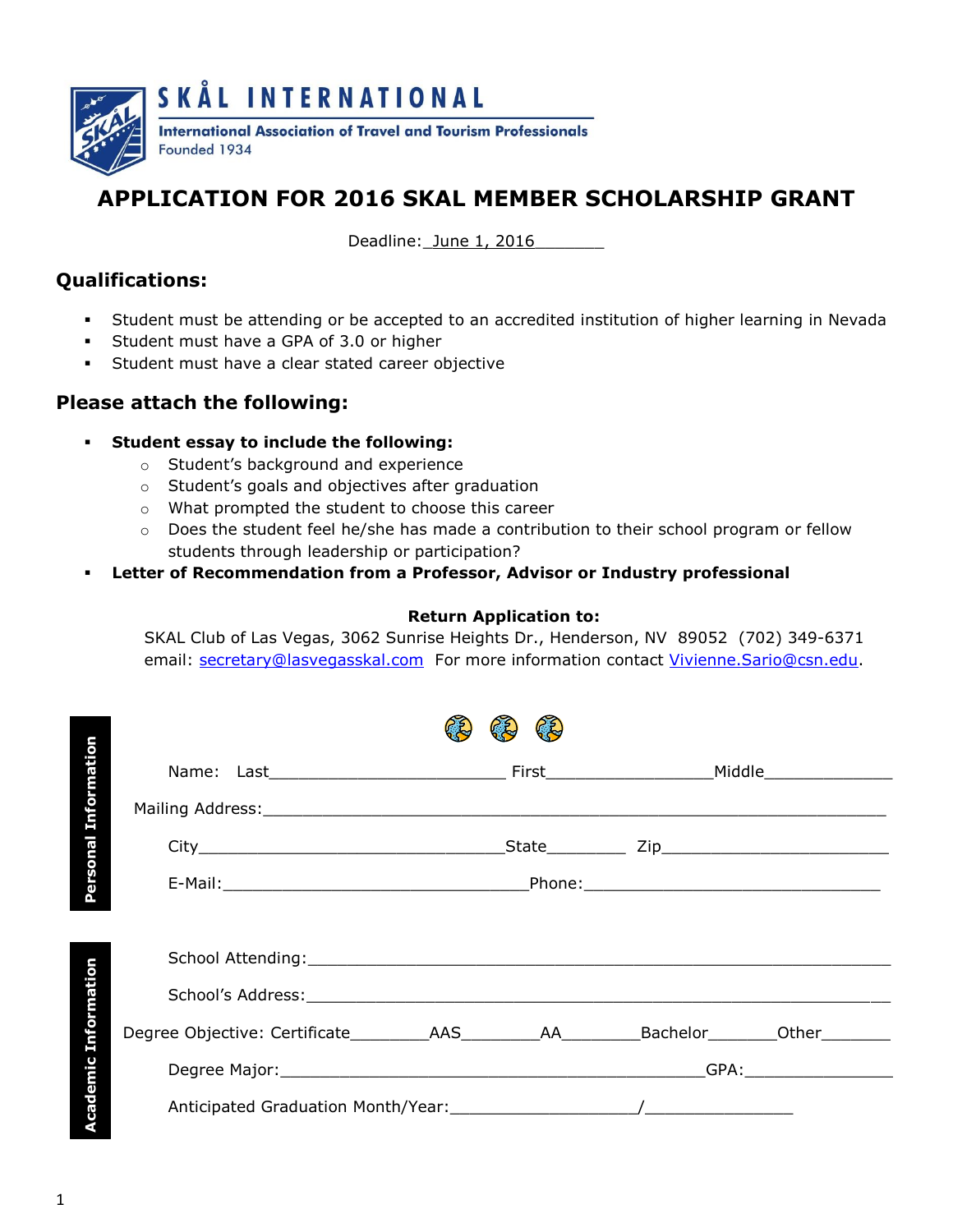

## **APPLICATION FOR 2016 SKAL MEMBER SCHOLARSHIP GRANT**

Deadline: June 1, 2016

## **Qualifications:**

- Student must be attending or be accepted to an accredited institution of higher learning in Nevada
- Student must have a GPA of 3.0 or higher
- Student must have a clear stated career objective

## **Please attach the following:**

- **Student essay to include the following:**
	- o Student's background and experience
	- o Student's goals and objectives after graduation
	- o What prompted the student to choose this career
	- o Does the student feel he/she has made a contribution to their school program or fellow students through leadership or participation?
- **Letter of Recommendation from a Professor, Advisor or Industry professional**

## **Return Application to:**

SKAL Club of Las Vegas, 3062 Sunrise Heights Dr., Henderson, NV 89052 (702) 349-6371 email: [secretary@lasvegasskal.com](mailto:secretary@lasvegasskal.com) For more information contact [Vivienne.Sario@csn.edu.](mailto:Vivienne.Sario@csn.edu)

| <b>Personal Information</b> |                                                                                                 |  |  |  |  |  |
|-----------------------------|-------------------------------------------------------------------------------------------------|--|--|--|--|--|
|                             |                                                                                                 |  |  |  |  |  |
|                             |                                                                                                 |  |  |  |  |  |
|                             |                                                                                                 |  |  |  |  |  |
| Information                 | Degree Objective: Certificate___________AAS___________AA_________Bachelor________Other_________ |  |  |  |  |  |
|                             |                                                                                                 |  |  |  |  |  |
| Academic                    |                                                                                                 |  |  |  |  |  |
|                             |                                                                                                 |  |  |  |  |  |

1